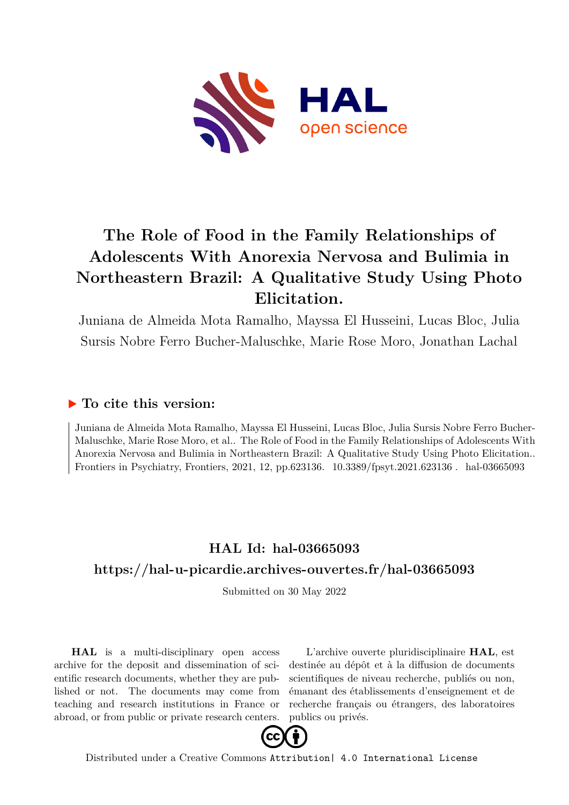

# **The Role of Food in the Family Relationships of Adolescents With Anorexia Nervosa and Bulimia in Northeastern Brazil: A Qualitative Study Using Photo Elicitation.**

Juniana de Almeida Mota Ramalho, Mayssa El Husseini, Lucas Bloc, Julia Sursis Nobre Ferro Bucher-Maluschke, Marie Rose Moro, Jonathan Lachal

# **To cite this version:**

Juniana de Almeida Mota Ramalho, Mayssa El Husseini, Lucas Bloc, Julia Sursis Nobre Ferro Bucher-Maluschke, Marie Rose Moro, et al.. The Role of Food in the Family Relationships of Adolescents With Anorexia Nervosa and Bulimia in Northeastern Brazil: A Qualitative Study Using Photo Elicitation.. Frontiers in Psychiatry, Frontiers, 2021, 12, pp.623136. 10.3389/fpsyt.2021.623136. hal-03665093

# **HAL Id: hal-03665093 <https://hal-u-picardie.archives-ouvertes.fr/hal-03665093>**

Submitted on 30 May 2022

**HAL** is a multi-disciplinary open access archive for the deposit and dissemination of scientific research documents, whether they are published or not. The documents may come from teaching and research institutions in France or abroad, or from public or private research centers.

L'archive ouverte pluridisciplinaire **HAL**, est destinée au dépôt et à la diffusion de documents scientifiques de niveau recherche, publiés ou non, émanant des établissements d'enseignement et de recherche français ou étrangers, des laboratoires publics ou privés.



Distributed under a Creative Commons [Attribution| 4.0 International License](http://creativecommons.org/licenses/by/4.0/)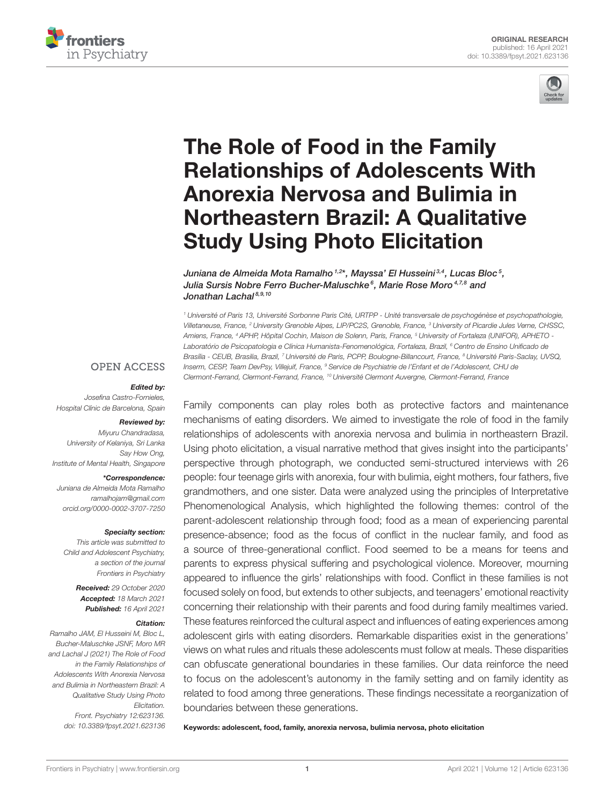



# The Role of Food in the Family [Relationships of Adolescents With](https://www.frontiersin.org/articles/10.3389/fpsyt.2021.623136/full) Anorexia Nervosa and Bulimia in Northeastern Brazil: A Qualitative Study Using Photo Elicitation

Juniana de Almeida Mota Ramalho <sup>1,2</sup>\*, Mayssa' El Husseini <sup>3,4</sup>, Lucas Bloc<sup>5</sup>, Julia Sursis Nobre Ferro Bucher-Maluschke<sup>6</sup>, Marie Rose Moro<sup>4,7,8</sup> and Jonathan Lachal<sup>8,9,10</sup>

<sup>1</sup> Université of Paris 13, Université Sorbonne Paris Cité, URTPP - Unité transversale de psychogénèse et psychopathologie, Villetaneuse, France, <sup>2</sup> University Grenoble Alpes, LIP/PC2S, Grenoble, France, <sup>3</sup> University of Picardie Jules Verne, CHSSC, Amiens, France, <sup>4</sup> APHP, Hôpital Cochin, Maison de Solenn, Paris, France, <sup>5</sup> University of Fortaleza (UNIFOR), APHETO - Laboratório de Psicopatologia e Clínica Humanista-Fenomenológica, Fortaleza, Brazil, <sup>6</sup> Centro de Ensino Unificado de Brasília - CEUB, Brasilia, Brazil, 7 Université de Paris, PCPP, Boulogne-Billancourt, France, <sup>8</sup> Université Paris-Saclay, UVSQ, Inserm, CESP, Team DevPsy, Villejuif, France, <sup>9</sup> Service de Psychiatrie de l'Enfant et de l'Adolescent, CHU de Clermont-Ferrand, Clermont-Ferrand, France, <sup>10</sup> Université Clermont Auvergne, Clermont-Ferrand, France

### **OPEN ACCESS**

#### Edited by:

Josefina Castro-Fornieles, Hospital Clínic de Barcelona, Spain

#### Reviewed by:

Miyuru Chandradasa, University of Kelaniya, Sri Lanka Say How Ong, Institute of Mental Health, Singapore

#### \*Correspondence:

Juniana de Almeida Mota Ramalho [ramalhojam@gmail.com](mailto:ramalhojam@gmail.com) [orcid.org/0000-0002-3707-7250](https://orcid.org/0000-0002-3707-7250)

#### Specialty section:

This article was submitted to Child and Adolescent Psychiatry, a section of the journal Frontiers in Psychiatry

> Received: 29 October 2020 Accepted: 18 March 2021 Published: 16 April 2021

#### Citation:

Ramalho JAM, El Husseini M, Bloc L, Bucher-Maluschke JSNF, Moro MR and Lachal J (2021) The Role of Food in the Family Relationships of Adolescents With Anorexia Nervosa and Bulimia in Northeastern Brazil: A Qualitative Study Using Photo Elicitation. Front. Psychiatry 12:623136. doi: [10.3389/fpsyt.2021.623136](https://doi.org/10.3389/fpsyt.2021.623136)

Family components can play roles both as protective factors and maintenance mechanisms of eating disorders. We aimed to investigate the role of food in the family relationships of adolescents with anorexia nervosa and bulimia in northeastern Brazil. Using photo elicitation, a visual narrative method that gives insight into the participants' perspective through photograph, we conducted semi-structured interviews with 26 people: four teenage girls with anorexia, four with bulimia, eight mothers, four fathers, five grandmothers, and one sister. Data were analyzed using the principles of Interpretative Phenomenological Analysis, which highlighted the following themes: control of the parent-adolescent relationship through food; food as a mean of experiencing parental presence-absence; food as the focus of conflict in the nuclear family, and food as a source of three-generational conflict. Food seemed to be a means for teens and parents to express physical suffering and psychological violence. Moreover, mourning appeared to influence the girls' relationships with food. Conflict in these families is not focused solely on food, but extends to other subjects, and teenagers' emotional reactivity concerning their relationship with their parents and food during family mealtimes varied. These features reinforced the cultural aspect and influences of eating experiences among adolescent girls with eating disorders. Remarkable disparities exist in the generations' views on what rules and rituals these adolescents must follow at meals. These disparities can obfuscate generational boundaries in these families. Our data reinforce the need to focus on the adolescent's autonomy in the family setting and on family identity as related to food among three generations. These findings necessitate a reorganization of boundaries between these generations.

Keywords: adolescent, food, family, anorexia nervosa, bulimia nervosa, photo elicitation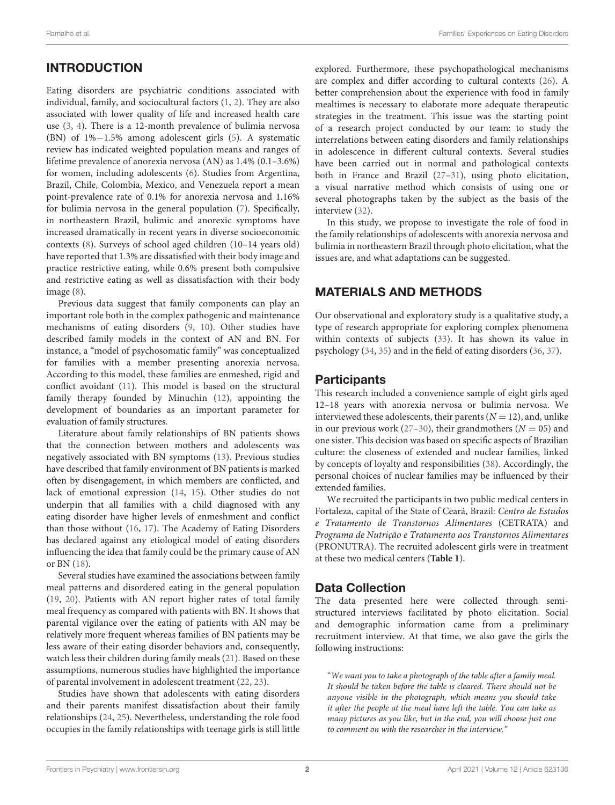# INTRODUCTION

Eating disorders are psychiatric conditions associated with individual, family, and sociocultural factors [\(1,](#page-8-0) [2\)](#page-8-1). They are also associated with lower quality of life and increased health care use [\(3,](#page-8-2) [4\)](#page-8-3). There is a 12-month prevalence of bulimia nervosa (BN) of 1%−1.5% among adolescent girls [\(5\)](#page-8-4). A systematic review has indicated weighted population means and ranges of lifetime prevalence of anorexia nervosa (AN) as 1.4% (0.1–3.6%) for women, including adolescents [\(6\)](#page-8-5). Studies from Argentina, Brazil, Chile, Colombia, Mexico, and Venezuela report a mean point-prevalence rate of 0.1% for anorexia nervosa and 1.16% for bulimia nervosa in the general population [\(7\)](#page-8-6). Specifically, in northeastern Brazil, bulimic and anorexic symptoms have increased dramatically in recent years in diverse socioeconomic contexts [\(8\)](#page-8-7). Surveys of school aged children (10–14 years old) have reported that 1.3% are dissatisfied with their body image and practice restrictive eating, while 0.6% present both compulsive and restrictive eating as well as dissatisfaction with their body image [\(8\)](#page-8-7).

Previous data suggest that family components can play an important role both in the complex pathogenic and maintenance mechanisms of eating disorders [\(9,](#page-8-8) [10\)](#page-8-9). Other studies have described family models in the context of AN and BN. For instance, a "model of psychosomatic family" was conceptualized for families with a member presenting anorexia nervosa. According to this model, these families are enmeshed, rigid and conflict avoidant [\(11\)](#page-8-10). This model is based on the structural family therapy founded by Minuchin [\(12\)](#page-8-11), appointing the development of boundaries as an important parameter for evaluation of family structures.

Literature about family relationships of BN patients shows that the connection between mothers and adolescents was negatively associated with BN symptoms [\(13\)](#page-8-12). Previous studies have described that family environment of BN patients is marked often by disengagement, in which members are conflicted, and lack of emotional expression [\(14,](#page-8-13) [15\)](#page-9-0). Other studies do not underpin that all families with a child diagnosed with any eating disorder have higher levels of enmeshment and conflict than those without [\(16,](#page-9-1) [17\)](#page-9-2). The Academy of Eating Disorders has declared against any etiological model of eating disorders influencing the idea that family could be the primary cause of AN or BN [\(18\)](#page-9-3).

Several studies have examined the associations between family meal patterns and disordered eating in the general population [\(19,](#page-9-4) [20\)](#page-9-5). Patients with AN report higher rates of total family meal frequency as compared with patients with BN. It shows that parental vigilance over the eating of patients with AN may be relatively more frequent whereas families of BN patients may be less aware of their eating disorder behaviors and, consequently, watch less their children during family meals [\(21\)](#page-9-6). Based on these assumptions, numerous studies have highlighted the importance of parental involvement in adolescent treatment [\(22,](#page-9-7) [23\)](#page-9-8).

Studies have shown that adolescents with eating disorders and their parents manifest dissatisfaction about their family relationships [\(24,](#page-9-9) [25\)](#page-9-10). Nevertheless, understanding the role food occupies in the family relationships with teenage girls is still little

explored. Furthermore, these psychopathological mechanisms are complex and differ according to cultural contexts [\(26\)](#page-9-11). A better comprehension about the experience with food in family mealtimes is necessary to elaborate more adequate therapeutic strategies in the treatment. This issue was the starting point of a research project conducted by our team: to study the interrelations between eating disorders and family relationships in adolescence in different cultural contexts. Several studies have been carried out in normal and pathological contexts both in France and Brazil [\(27–](#page-9-12)[31\)](#page-9-13), using photo elicitation, a visual narrative method which consists of using one or several photographs taken by the subject as the basis of the interview [\(32\)](#page-9-14).

In this study, we propose to investigate the role of food in the family relationships of adolescents with anorexia nervosa and bulimia in northeastern Brazil through photo elicitation, what the issues are, and what adaptations can be suggested.

# MATERIALS AND METHODS

Our observational and exploratory study is a qualitative study, a type of research appropriate for exploring complex phenomena within contexts of subjects [\(33\)](#page-9-15). It has shown its value in psychology [\(34,](#page-9-16) [35\)](#page-9-17) and in the field of eating disorders [\(36,](#page-9-18) [37\)](#page-9-19).

# **Participants**

This research included a convenience sample of eight girls aged 12–18 years with anorexia nervosa or bulimia nervosa. We interviewed these adolescents, their parents  $(N = 12)$ , and, unlike in our previous work [\(27](#page-9-12)[–30\)](#page-9-20), their grandmothers ( $N = 05$ ) and one sister. This decision was based on specific aspects of Brazilian culture: the closeness of extended and nuclear families, linked by concepts of loyalty and responsibilities [\(38\)](#page-9-21). Accordingly, the personal choices of nuclear families may be influenced by their extended families.

We recruited the participants in two public medical centers in Fortaleza, capital of the State of Ceará, Brazil: Centro de Estudos e Tratamento de Transtornos Alimentares (CETRATA) and Programa de Nutrição e Tratamento aos Transtornos Alimentares (PRONUTRA). The recruited adolescent girls were in treatment at these two medical centers (**[Table 1](#page-3-0)**).

# Data Collection

The data presented here were collected through semistructured interviews facilitated by photo elicitation. Social and demographic information came from a preliminary recruitment interview. At that time, we also gave the girls the following instructions:

"We want you to take a photograph of the table after a family meal. It should be taken before the table is cleared. There should not be anyone visible in the photograph, which means you should take it after the people at the meal have left the table. You can take as many pictures as you like, but in the end, you will choose just one to comment on with the researcher in the interview."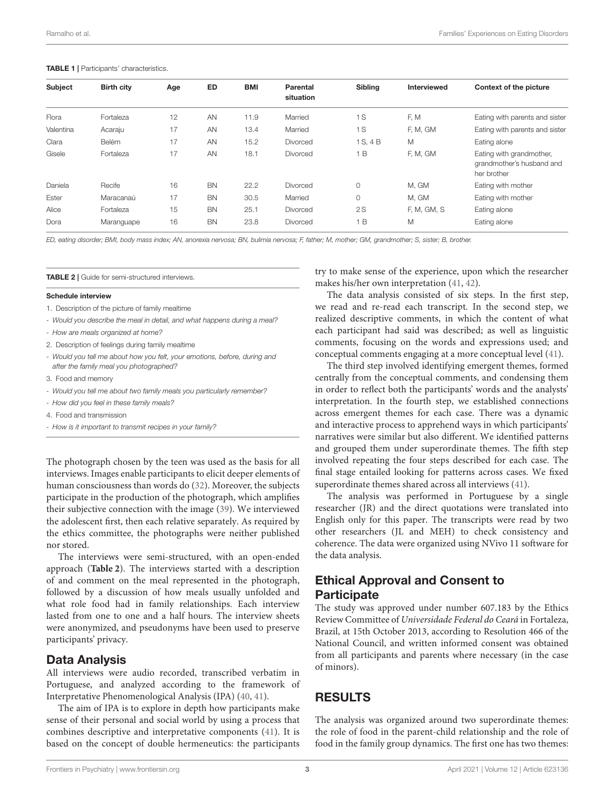#### <span id="page-3-0"></span>TABLE 1 | Participants' characteristics.

| <b>Subject</b> | <b>Birth city</b> | Age | ED        | BMI  | Parental<br>situation | <b>Sibling</b> | Interviewed | Context of the picture                                               |
|----------------|-------------------|-----|-----------|------|-----------------------|----------------|-------------|----------------------------------------------------------------------|
| Flora          | Fortaleza         | 12  | AN        | 11.9 | Married               | 1S             | F, M        | Eating with parents and sister                                       |
| Valentina      | Acaraju           | 17  | AN        | 13.4 | Married               | 1S             | F, M, GM    | Eating with parents and sister                                       |
| Clara          | Belém             | 17  | AN        | 15.2 | <b>Divorced</b>       | 1 S. 4 B       | M           | Eating alone                                                         |
| Gisele         | Fortaleza         | 17  | AN        | 18.1 | <b>Divorced</b>       | B              | F, M, GM    | Eating with grandmother,<br>grandmother's husband and<br>her brother |
| Daniela        | Recife            | 16  | <b>BN</b> | 22.2 | <b>Divorced</b>       | $\circ$        | M, GM       | Eating with mother                                                   |
| Ester          | Maracanaú         | 17  | <b>BN</b> | 30.5 | Married               | $\circ$        | M, GM       | Eating with mother                                                   |
| Alice          | Fortaleza         | 15  | <b>BN</b> | 25.1 | Divorced              | 2S             | F, M, GM, S | Eating alone                                                         |
| Dora           | Maranguape        | 16  | <b>BN</b> | 23.8 | Divorced              | B              | M           | Eating alone                                                         |
|                |                   |     |           |      |                       |                |             |                                                                      |

ED, eating disorder; BMI, body mass index; AN, anorexia nervosa; BN, bulimia nervosa; F, father; M, mother; GM, grandmother; S, sister; B, brother.

<span id="page-3-1"></span>**TABLE 2 | Guide for semi-structured interviews.** 

#### Schedule interview

- 1. Description of the picture of family mealtime
- Would you describe the meal in detail, and what happens during a meal?
- How are meals organized at home?
- 2. Description of feelings during family mealtime
- Would you tell me about how you felt, your emotions, before, during and after the family meal you photographed?
- 3. Food and memory
- Would you tell me about two family meals you particularly remember?
- How did you feel in these family meals?
- 4. Food and transmission
- How is it important to transmit recipes in your family?

The photograph chosen by the teen was used as the basis for all interviews. Images enable participants to elicit deeper elements of human consciousness than words do [\(32\)](#page-9-14). Moreover, the subjects participate in the production of the photograph, which amplifies their subjective connection with the image [\(39\)](#page-9-22). We interviewed the adolescent first, then each relative separately. As required by the ethics committee, the photographs were neither published nor stored.

The interviews were semi-structured, with an open-ended approach (**[Table 2](#page-3-1)**). The interviews started with a description of and comment on the meal represented in the photograph, followed by a discussion of how meals usually unfolded and what role food had in family relationships. Each interview lasted from one to one and a half hours. The interview sheets were anonymized, and pseudonyms have been used to preserve participants' privacy.

### Data Analysis

All interviews were audio recorded, transcribed verbatim in Portuguese, and analyzed according to the framework of Interpretative Phenomenological Analysis (IPA) [\(40,](#page-9-23) [41\)](#page-9-24).

The aim of IPA is to explore in depth how participants make sense of their personal and social world by using a process that combines descriptive and interpretative components [\(41\)](#page-9-24). It is based on the concept of double hermeneutics: the participants try to make sense of the experience, upon which the researcher makes his/her own interpretation [\(41,](#page-9-24) [42\)](#page-9-25).

The data analysis consisted of six steps. In the first step, we read and re-read each transcript. In the second step, we realized descriptive comments, in which the content of what each participant had said was described; as well as linguistic comments, focusing on the words and expressions used; and conceptual comments engaging at a more conceptual level [\(41\)](#page-9-24).

The third step involved identifying emergent themes, formed centrally from the conceptual comments, and condensing them in order to reflect both the participants' words and the analysts' interpretation. In the fourth step, we established connections across emergent themes for each case. There was a dynamic and interactive process to apprehend ways in which participants' narratives were similar but also different. We identified patterns and grouped them under superordinate themes. The fifth step involved repeating the four steps described for each case. The final stage entailed looking for patterns across cases. We fixed superordinate themes shared across all interviews [\(41\)](#page-9-24).

The analysis was performed in Portuguese by a single researcher (JR) and the direct quotations were translated into English only for this paper. The transcripts were read by two other researchers (JL and MEH) to check consistency and coherence. The data were organized using NVivo 11 software for the data analysis.

### Ethical Approval and Consent to **Participate**

The study was approved under number 607.183 by the Ethics Review Committee of Universidade Federal do Ceará in Fortaleza, Brazil, at 15th October 2013, according to Resolution 466 of the National Council, and written informed consent was obtained from all participants and parents where necessary (in the case of minors).

### RESULTS

The analysis was organized around two superordinate themes: the role of food in the parent-child relationship and the role of food in the family group dynamics. The first one has two themes: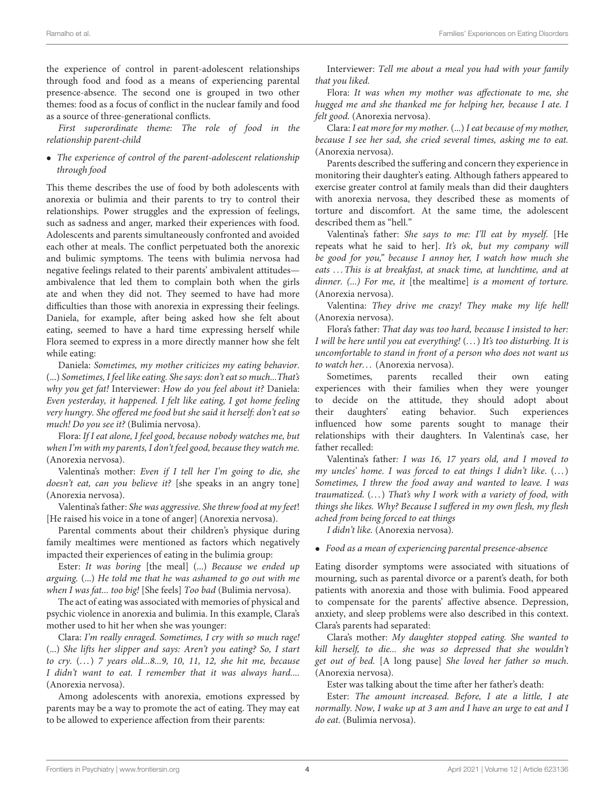the experience of control in parent-adolescent relationships through food and food as a means of experiencing parental presence-absence. The second one is grouped in two other themes: food as a focus of conflict in the nuclear family and food as a source of three-generational conflicts.

First superordinate theme: The role of food in the relationship parent-child

• The experience of control of the parent-adolescent relationship through food

This theme describes the use of food by both adolescents with anorexia or bulimia and their parents to try to control their relationships. Power struggles and the expression of feelings, such as sadness and anger, marked their experiences with food. Adolescents and parents simultaneously confronted and avoided each other at meals. The conflict perpetuated both the anorexic and bulimic symptoms. The teens with bulimia nervosa had negative feelings related to their parents' ambivalent attitudes ambivalence that led them to complain both when the girls ate and when they did not. They seemed to have had more difficulties than those with anorexia in expressing their feelings. Daniela, for example, after being asked how she felt about eating, seemed to have a hard time expressing herself while Flora seemed to express in a more directly manner how she felt while eating:

Daniela: Sometimes, my mother criticizes my eating behavior. (...) Sometimes, I feel like eating. She says: don't eat so much...That's why you get fat! Interviewer: How do you feel about it? Daniela: Even yesterday, it happened. I felt like eating, I got home feeling very hungry. She offered me food but she said it herself: don't eat so much! Do you see it? (Bulimia nervosa).

Flora: If I eat alone, I feel good, because nobody watches me, but when I'm with my parents, I don't feel good, because they watch me. (Anorexia nervosa).

Valentina's mother: Even if I tell her I'm going to die, she doesn't eat, can you believe it? [she speaks in an angry tone] (Anorexia nervosa).

Valentina's father: She was aggressive. She threw food at my feet! [He raised his voice in a tone of anger] (Anorexia nervosa).

Parental comments about their children's physique during family mealtimes were mentioned as factors which negatively impacted their experiences of eating in the bulimia group:

Ester: It was boring [the meal] (...) Because we ended up arguing. (...) He told me that he was ashamed to go out with me when I was fat... too big! [She feels] Too bad (Bulimia nervosa).

The act of eating was associated with memories of physical and psychic violence in anorexia and bulimia. In this example, Clara's mother used to hit her when she was younger:

Clara: I'm really enraged. Sometimes, I cry with so much rage! (...) She lifts her slipper and says: Aren't you eating? So, I start to cry. (. . . ) 7 years old...8...9, 10, 11, 12, she hit me, because I didn't want to eat. I remember that it was always hard.... (Anorexia nervosa).

Among adolescents with anorexia, emotions expressed by parents may be a way to promote the act of eating. They may eat to be allowed to experience affection from their parents:

Interviewer: Tell me about a meal you had with your family that you liked.

Flora: It was when my mother was affectionate to me, she hugged me and she thanked me for helping her, because I ate. I felt good. (Anorexia nervosa).

Clara: I eat more for my mother. (...) I eat because of my mother, because I see her sad, she cried several times, asking me to eat. (Anorexia nervosa).

Parents described the suffering and concern they experience in monitoring their daughter's eating. Although fathers appeared to exercise greater control at family meals than did their daughters with anorexia nervosa, they described these as moments of torture and discomfort. At the same time, the adolescent described them as "hell."

Valentina's father: She says to me: I'll eat by myself. [He repeats what he said to her]. It's ok, but my company will be good for you," because I annoy her, I watch how much she eats ... This is at breakfast, at snack time, at lunchtime, and at dinner. (...) For me, it [the mealtime] is a moment of torture. (Anorexia nervosa).

Valentina: They drive me crazy! They make my life hell! (Anorexia nervosa).

Flora's father: That day was too hard, because I insisted to her: I will be here until you eat everything! (...) It's too disturbing. It is uncomfortable to stand in front of a person who does not want us to watch her... (Anorexia nervosa).

Sometimes, parents recalled their own eating experiences with their families when they were younger to decide on the attitude, they should adopt about their daughters' eating behavior. Such experiences influenced how some parents sought to manage their relationships with their daughters. In Valentina's case, her father recalled:

Valentina's father: I was 16, 17 years old, and I moved to my uncles' home. I was forced to eat things I didn't like.  $(...)$ Sometimes, I threw the food away and wanted to leave. I was traumatized.  $(...)$  That's why I work with a variety of food, with things she likes. Why? Because I suffered in my own flesh, my flesh ached from being forced to eat things

I didn't like. (Anorexia nervosa).

• Food as a mean of experiencing parental presence-absence

Eating disorder symptoms were associated with situations of mourning, such as parental divorce or a parent's death, for both patients with anorexia and those with bulimia. Food appeared to compensate for the parents' affective absence. Depression, anxiety, and sleep problems were also described in this context. Clara's parents had separated:

Clara's mother: My daughter stopped eating. She wanted to kill herself, to die... she was so depressed that she wouldn't get out of bed. [A long pause] She loved her father so much. (Anorexia nervosa).

Ester was talking about the time after her father's death:

Ester: The amount increased. Before, I ate a little, I ate normally. Now, I wake up at 3 am and I have an urge to eat and I do eat. (Bulimia nervosa).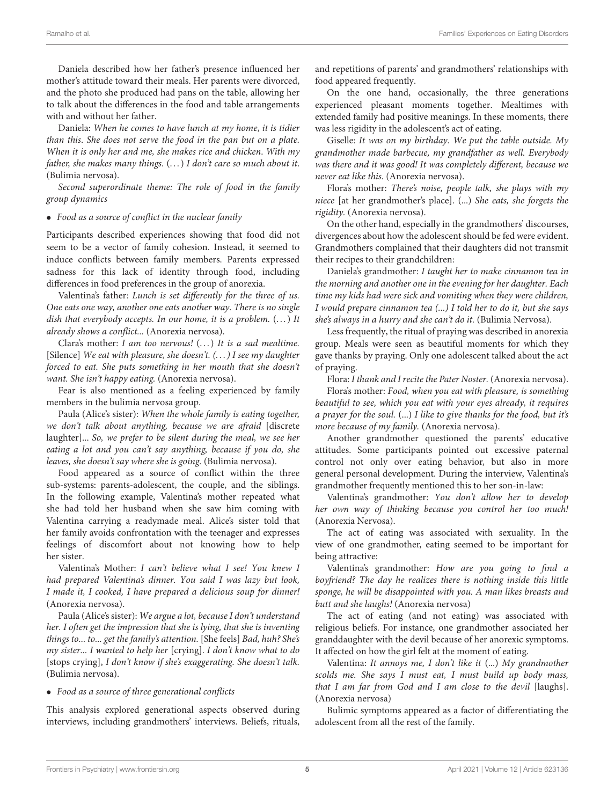Daniela described how her father's presence influenced her mother's attitude toward their meals. Her parents were divorced, and the photo she produced had pans on the table, allowing her to talk about the differences in the food and table arrangements with and without her father.

Daniela: When he comes to have lunch at my home, it is tidier than this. She does not serve the food in the pan but on a plate. When it is only her and me, she makes rice and chicken. With my father, she makes many things.  $(...)$  I don't care so much about it. (Bulimia nervosa).

Second superordinate theme: The role of food in the family group dynamics

• Food as a source of conflict in the nuclear family

Participants described experiences showing that food did not seem to be a vector of family cohesion. Instead, it seemed to induce conflicts between family members. Parents expressed sadness for this lack of identity through food, including differences in food preferences in the group of anorexia.

Valentina's father: Lunch is set differently for the three of us. One eats one way, another one eats another way. There is no single dish that everybody accepts. In our home, it is a problem.  $(...)$  It already shows a conflict... (Anorexia nervosa).

Clara's mother: I am too nervous!  $(...)$  It is a sad mealtime. [Silence] We eat with pleasure, she doesn't. (...) I see my daughter forced to eat. She puts something in her mouth that she doesn't want. She isn't happy eating. (Anorexia nervosa).

Fear is also mentioned as a feeling experienced by family members in the bulimia nervosa group.

Paula (Alice's sister): When the whole family is eating together, we don't talk about anything, because we are afraid [discrete laughter]... So, we prefer to be silent during the meal, we see her eating a lot and you can't say anything, because if you do, she leaves, she doesn't say where she is going. (Bulimia nervosa).

Food appeared as a source of conflict within the three sub-systems: parents-adolescent, the couple, and the siblings. In the following example, Valentina's mother repeated what she had told her husband when she saw him coming with Valentina carrying a readymade meal. Alice's sister told that her family avoids confrontation with the teenager and expresses feelings of discomfort about not knowing how to help her sister.

Valentina's Mother: I can't believe what I see! You knew I had prepared Valentina's dinner. You said I was lazy but look, I made it, I cooked, I have prepared a delicious soup for dinner! (Anorexia nervosa).

Paula (Alice's sister): We argue a lot, because I don't understand her. I often get the impression that she is lying, that she is inventing things to... to... get the family's attention. [She feels] Bad, huh? She's my sister... I wanted to help her [crying]. I don't know what to do [stops crying], I don't know if she's exaggerating. She doesn't talk. (Bulimia nervosa).

#### • Food as a source of three generational conflicts

This analysis explored generational aspects observed during interviews, including grandmothers' interviews. Beliefs, rituals, and repetitions of parents' and grandmothers' relationships with food appeared frequently.

On the one hand, occasionally, the three generations experienced pleasant moments together. Mealtimes with extended family had positive meanings. In these moments, there was less rigidity in the adolescent's act of eating.

Giselle: It was on my birthday. We put the table outside. My grandmother made barbecue, my grandfather as well. Everybody was there and it was good! It was completely different, because we never eat like this. (Anorexia nervosa).

Flora's mother: There's noise, people talk, she plays with my niece [at her grandmother's place]. (...) She eats, she forgets the rigidity. (Anorexia nervosa).

On the other hand, especially in the grandmothers' discourses, divergences about how the adolescent should be fed were evident. Grandmothers complained that their daughters did not transmit their recipes to their grandchildren:

Daniela's grandmother: I taught her to make cinnamon tea in the morning and another one in the evening for her daughter. Each time my kids had were sick and vomiting when they were children, I would prepare cinnamon tea (...) I told her to do it, but she says she's always in a hurry and she can't do it. (Bulimia Nervosa).

Less frequently, the ritual of praying was described in anorexia group. Meals were seen as beautiful moments for which they gave thanks by praying. Only one adolescent talked about the act of praying.

Flora: I thank and I recite the Pater Noster. (Anorexia nervosa).

Flora's mother: Food, when you eat with pleasure, is something beautiful to see, which you eat with your eyes already, it requires a prayer for the soul. (...) I like to give thanks for the food, but it's more because of my family. (Anorexia nervosa).

Another grandmother questioned the parents' educative attitudes. Some participants pointed out excessive paternal control not only over eating behavior, but also in more general personal development. During the interview, Valentina's grandmother frequently mentioned this to her son-in-law:

Valentina's grandmother: You don't allow her to develop her own way of thinking because you control her too much! (Anorexia Nervosa).

The act of eating was associated with sexuality. In the view of one grandmother, eating seemed to be important for being attractive:

Valentina's grandmother: How are you going to find a boyfriend? The day he realizes there is nothing inside this little sponge, he will be disappointed with you. A man likes breasts and butt and she laughs! (Anorexia nervosa)

The act of eating (and not eating) was associated with religious beliefs. For instance, one grandmother associated her granddaughter with the devil because of her anorexic symptoms. It affected on how the girl felt at the moment of eating.

Valentina: It annoys me, I don't like it (...) My grandmother scolds me. She says I must eat, I must build up body mass, that I am far from God and I am close to the devil [laughs]. (Anorexia nervosa)

Bulimic symptoms appeared as a factor of differentiating the adolescent from all the rest of the family.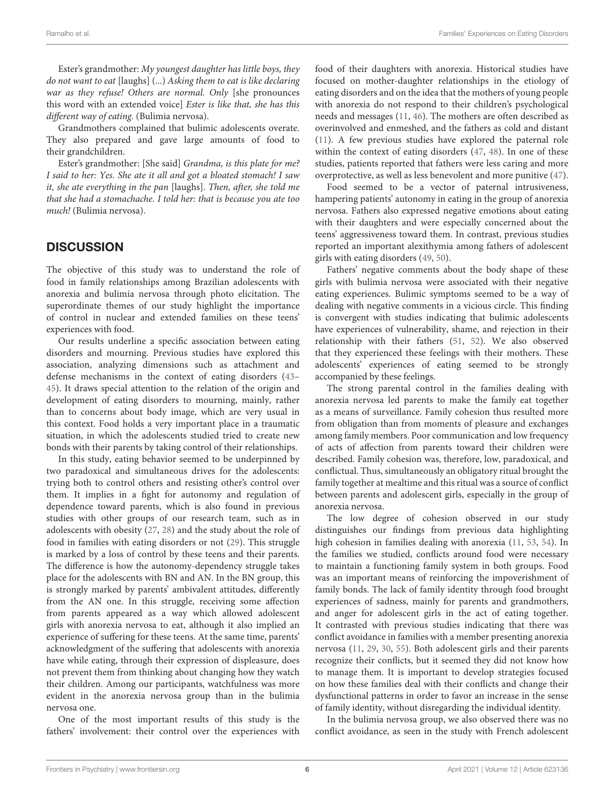Ester's grandmother: My youngest daughter has little boys, they do not want to eat [laughs] (...) Asking them to eat is like declaring war as they refuse! Others are normal. Only [she pronounces this word with an extended voice] Ester is like that, she has this different way of eating. (Bulimia nervosa).

Grandmothers complained that bulimic adolescents overate. They also prepared and gave large amounts of food to their grandchildren.

Ester's grandmother: [She said] Grandma, is this plate for me? I said to her: Yes. She ate it all and got a bloated stomach! I saw it, she ate everything in the pan [laughs]. Then, after, she told me that she had a stomachache. I told her: that is because you ate too much! (Bulimia nervosa).

### **DISCUSSION**

The objective of this study was to understand the role of food in family relationships among Brazilian adolescents with anorexia and bulimia nervosa through photo elicitation. The superordinate themes of our study highlight the importance of control in nuclear and extended families on these teens' experiences with food.

Our results underline a specific association between eating disorders and mourning. Previous studies have explored this association, analyzing dimensions such as attachment and defense mechanisms in the context of eating disorders [\(43–](#page-9-26) [45\)](#page-9-27). It draws special attention to the relation of the origin and development of eating disorders to mourning, mainly, rather than to concerns about body image, which are very usual in this context. Food holds a very important place in a traumatic situation, in which the adolescents studied tried to create new bonds with their parents by taking control of their relationships.

In this study, eating behavior seemed to be underpinned by two paradoxical and simultaneous drives for the adolescents: trying both to control others and resisting other's control over them. It implies in a fight for autonomy and regulation of dependence toward parents, which is also found in previous studies with other groups of our research team, such as in adolescents with obesity [\(27,](#page-9-12) [28\)](#page-9-28) and the study about the role of food in families with eating disorders or not [\(29\)](#page-9-29). This struggle is marked by a loss of control by these teens and their parents. The difference is how the autonomy-dependency struggle takes place for the adolescents with BN and AN. In the BN group, this is strongly marked by parents' ambivalent attitudes, differently from the AN one. In this struggle, receiving some affection from parents appeared as a way which allowed adolescent girls with anorexia nervosa to eat, although it also implied an experience of suffering for these teens. At the same time, parents' acknowledgment of the suffering that adolescents with anorexia have while eating, through their expression of displeasure, does not prevent them from thinking about changing how they watch their children. Among our participants, watchfulness was more evident in the anorexia nervosa group than in the bulimia nervosa one.

One of the most important results of this study is the fathers' involvement: their control over the experiences with food of their daughters with anorexia. Historical studies have focused on mother-daughter relationships in the etiology of eating disorders and on the idea that the mothers of young people with anorexia do not respond to their children's psychological needs and messages [\(11,](#page-8-10) [46\)](#page-9-30). The mothers are often described as overinvolved and enmeshed, and the fathers as cold and distant [\(11\)](#page-8-10). A few previous studies have explored the paternal role within the context of eating disorders [\(47,](#page-9-31) [48\)](#page-9-32). In one of these studies, patients reported that fathers were less caring and more overprotective, as well as less benevolent and more punitive [\(47\)](#page-9-31).

Food seemed to be a vector of paternal intrusiveness, hampering patients' autonomy in eating in the group of anorexia nervosa. Fathers also expressed negative emotions about eating with their daughters and were especially concerned about the teens' aggressiveness toward them. In contrast, previous studies reported an important alexithymia among fathers of adolescent girls with eating disorders [\(49,](#page-9-33) [50\)](#page-9-34).

Fathers' negative comments about the body shape of these girls with bulimia nervosa were associated with their negative eating experiences. Bulimic symptoms seemed to be a way of dealing with negative comments in a vicious circle. This finding is convergent with studies indicating that bulimic adolescents have experiences of vulnerability, shame, and rejection in their relationship with their fathers [\(51,](#page-9-35) [52\)](#page-9-36). We also observed that they experienced these feelings with their mothers. These adolescents' experiences of eating seemed to be strongly accompanied by these feelings.

The strong parental control in the families dealing with anorexia nervosa led parents to make the family eat together as a means of surveillance. Family cohesion thus resulted more from obligation than from moments of pleasure and exchanges among family members. Poor communication and low frequency of acts of affection from parents toward their children were described. Family cohesion was, therefore, low, paradoxical, and conflictual. Thus, simultaneously an obligatory ritual brought the family together at mealtime and this ritual was a source of conflict between parents and adolescent girls, especially in the group of anorexia nervosa.

The low degree of cohesion observed in our study distinguishes our findings from previous data highlighting high cohesion in families dealing with anorexia [\(11,](#page-8-10) [53,](#page-9-37) [54\)](#page-9-38). In the families we studied, conflicts around food were necessary to maintain a functioning family system in both groups. Food was an important means of reinforcing the impoverishment of family bonds. The lack of family identity through food brought experiences of sadness, mainly for parents and grandmothers, and anger for adolescent girls in the act of eating together. It contrasted with previous studies indicating that there was conflict avoidance in families with a member presenting anorexia nervosa [\(11,](#page-8-10) [29,](#page-9-29) [30,](#page-9-20) [55\)](#page-9-39). Both adolescent girls and their parents recognize their conflicts, but it seemed they did not know how to manage them. It is important to develop strategies focused on how these families deal with their conflicts and change their dysfunctional patterns in order to favor an increase in the sense of family identity, without disregarding the individual identity.

In the bulimia nervosa group, we also observed there was no conflict avoidance, as seen in the study with French adolescent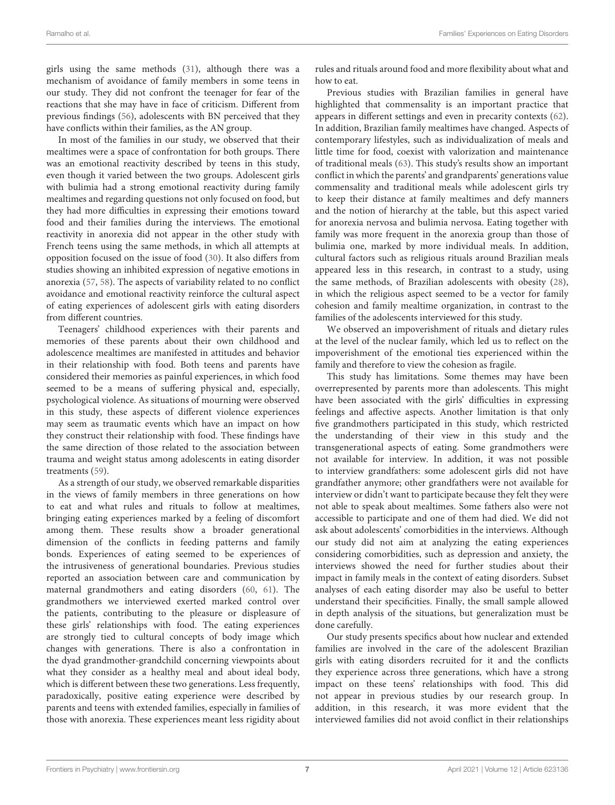girls using the same methods [\(31\)](#page-9-13), although there was a mechanism of avoidance of family members in some teens in our study. They did not confront the teenager for fear of the reactions that she may have in face of criticism. Different from previous findings [\(56\)](#page-9-40), adolescents with BN perceived that they have conflicts within their families, as the AN group.

In most of the families in our study, we observed that their mealtimes were a space of confrontation for both groups. There was an emotional reactivity described by teens in this study, even though it varied between the two groups. Adolescent girls with bulimia had a strong emotional reactivity during family mealtimes and regarding questions not only focused on food, but they had more difficulties in expressing their emotions toward food and their families during the interviews. The emotional reactivity in anorexia did not appear in the other study with French teens using the same methods, in which all attempts at opposition focused on the issue of food [\(30\)](#page-9-20). It also differs from studies showing an inhibited expression of negative emotions in anorexia [\(57,](#page-9-41) [58\)](#page-9-42). The aspects of variability related to no conflict avoidance and emotional reactivity reinforce the cultural aspect of eating experiences of adolescent girls with eating disorders from different countries.

Teenagers' childhood experiences with their parents and memories of these parents about their own childhood and adolescence mealtimes are manifested in attitudes and behavior in their relationship with food. Both teens and parents have considered their memories as painful experiences, in which food seemed to be a means of suffering physical and, especially, psychological violence. As situations of mourning were observed in this study, these aspects of different violence experiences may seem as traumatic events which have an impact on how they construct their relationship with food. These findings have the same direction of those related to the association between trauma and weight status among adolescents in eating disorder treatments [\(59\)](#page-10-0).

As a strength of our study, we observed remarkable disparities in the views of family members in three generations on how to eat and what rules and rituals to follow at mealtimes, bringing eating experiences marked by a feeling of discomfort among them. These results show a broader generational dimension of the conflicts in feeding patterns and family bonds. Experiences of eating seemed to be experiences of the intrusiveness of generational boundaries. Previous studies reported an association between care and communication by maternal grandmothers and eating disorders [\(60,](#page-10-1) [61\)](#page-10-2). The grandmothers we interviewed exerted marked control over the patients, contributing to the pleasure or displeasure of these girls' relationships with food. The eating experiences are strongly tied to cultural concepts of body image which changes with generations. There is also a confrontation in the dyad grandmother-grandchild concerning viewpoints about what they consider as a healthy meal and about ideal body, which is different between these two generations. Less frequently, paradoxically, positive eating experience were described by parents and teens with extended families, especially in families of those with anorexia. These experiences meant less rigidity about rules and rituals around food and more flexibility about what and how to eat.

Previous studies with Brazilian families in general have highlighted that commensality is an important practice that appears in different settings and even in precarity contexts [\(62\)](#page-10-3). In addition, Brazilian family mealtimes have changed. Aspects of contemporary lifestyles, such as individualization of meals and little time for food, coexist with valorization and maintenance of traditional meals [\(63\)](#page-10-4). This study's results show an important conflict in which the parents' and grandparents' generations value commensality and traditional meals while adolescent girls try to keep their distance at family mealtimes and defy manners and the notion of hierarchy at the table, but this aspect varied for anorexia nervosa and bulimia nervosa. Eating together with family was more frequent in the anorexia group than those of bulimia one, marked by more individual meals. In addition, cultural factors such as religious rituals around Brazilian meals appeared less in this research, in contrast to a study, using the same methods, of Brazilian adolescents with obesity [\(28\)](#page-9-28), in which the religious aspect seemed to be a vector for family cohesion and family mealtime organization, in contrast to the families of the adolescents interviewed for this study.

We observed an impoverishment of rituals and dietary rules at the level of the nuclear family, which led us to reflect on the impoverishment of the emotional ties experienced within the family and therefore to view the cohesion as fragile.

This study has limitations. Some themes may have been overrepresented by parents more than adolescents. This might have been associated with the girls' difficulties in expressing feelings and affective aspects. Another limitation is that only five grandmothers participated in this study, which restricted the understanding of their view in this study and the transgenerational aspects of eating. Some grandmothers were not available for interview. In addition, it was not possible to interview grandfathers: some adolescent girls did not have grandfather anymore; other grandfathers were not available for interview or didn't want to participate because they felt they were not able to speak about mealtimes. Some fathers also were not accessible to participate and one of them had died. We did not ask about adolescents' comorbidities in the interviews. Although our study did not aim at analyzing the eating experiences considering comorbidities, such as depression and anxiety, the interviews showed the need for further studies about their impact in family meals in the context of eating disorders. Subset analyses of each eating disorder may also be useful to better understand their specificities. Finally, the small sample allowed in depth analysis of the situations, but generalization must be done carefully.

Our study presents specifics about how nuclear and extended families are involved in the care of the adolescent Brazilian girls with eating disorders recruited for it and the conflicts they experience across three generations, which have a strong impact on these teens' relationships with food. This did not appear in previous studies by our research group. In addition, in this research, it was more evident that the interviewed families did not avoid conflict in their relationships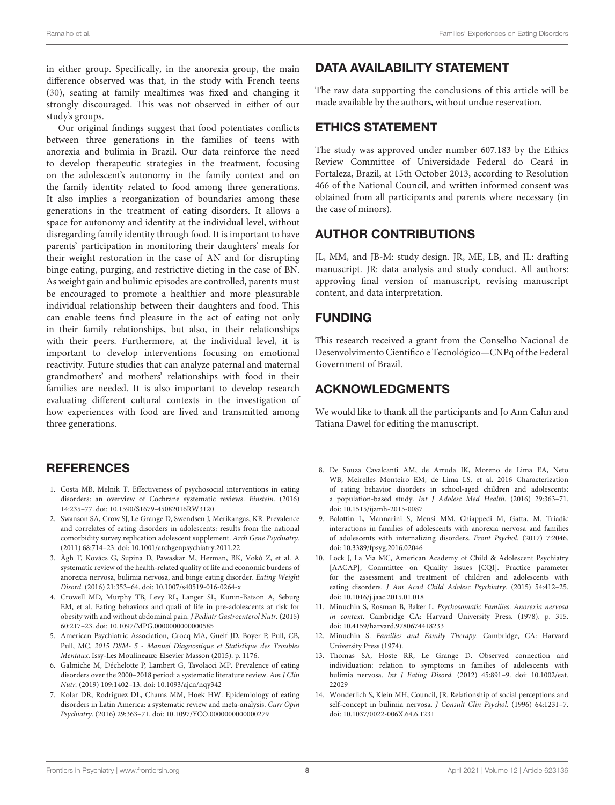in either group. Specifically, in the anorexia group, the main difference observed was that, in the study with French teens [\(30\)](#page-9-20), seating at family mealtimes was fixed and changing it strongly discouraged. This was not observed in either of our study's groups.

Our original findings suggest that food potentiates conflicts between three generations in the families of teens with anorexia and bulimia in Brazil. Our data reinforce the need to develop therapeutic strategies in the treatment, focusing on the adolescent's autonomy in the family context and on the family identity related to food among three generations. It also implies a reorganization of boundaries among these generations in the treatment of eating disorders. It allows a space for autonomy and identity at the individual level, without disregarding family identity through food. It is important to have parents' participation in monitoring their daughters' meals for their weight restoration in the case of AN and for disrupting binge eating, purging, and restrictive dieting in the case of BN. As weight gain and bulimic episodes are controlled, parents must be encouraged to promote a healthier and more pleasurable individual relationship between their daughters and food. This can enable teens find pleasure in the act of eating not only in their family relationships, but also, in their relationships with their peers. Furthermore, at the individual level, it is important to develop interventions focusing on emotional reactivity. Future studies that can analyze paternal and maternal grandmothers' and mothers' relationships with food in their families are needed. It is also important to develop research evaluating different cultural contexts in the investigation of how experiences with food are lived and transmitted among three generations.

## **REFERENCES**

- <span id="page-8-0"></span>1. Costa MB, Melnik T. Effectiveness of psychosocial interventions in eating disorders: an overview of Cochrane systematic reviews. Einstein. (2016) 14:235–77. doi: [10.1590/S1679-45082016RW3120](https://doi.org/10.1590/S1679-45082016RW3120)
- <span id="page-8-1"></span>2. Swanson SA, Crow SJ, Le Grange D, Swendsen J, Merikangas, KR. Prevalence and correlates of eating disorders in adolescents: results from the national comorbidity survey replication adolescent supplement. Arch Gene Psychiatry. (2011) 68:714–23. doi: [10.1001/archgenpsychiatry.2011.22](https://doi.org/10.1001/archgenpsychiatry.2011.22)
- <span id="page-8-2"></span>3. Àgh T, Kovács G, Supina D, Pawaskar M, Herman, BK, Vokó Z, et al. A systematic review of the health-related quality of life and economic burdens of anorexia nervosa, bulimia nervosa, and binge eating disorder. Eating Weight Disord. (2016) 21:353–64. doi: [10.1007/s40519-016-0264-x](https://doi.org/10.1007/s40519-016-0264-x)
- <span id="page-8-3"></span>4. Crowell MD, Murphy TB, Levy RL, Langer SL, Kunin-Batson A, Seburg EM, et al. Eating behaviors and quali of life in pre-adolescents at risk for obesity with and without abdominal pain. J Pediatr Gastroenterol Nutr. (2015) 60:217–23. doi: [10.1097/MPG.0000000000000585](https://doi.org/10.1097/MPG.0000000000000585)
- <span id="page-8-4"></span>5. American Psychiatric Association, Crocq MA, Guelf JD, Boyer P, Pull, CB, Pull, MC. 2015 DSM- 5 - Manuel Diagnostique et Statistique des Troubles Mentaux. Issy-Les Moulineaux: Elsevier Masson (2015). p. 1176.
- <span id="page-8-5"></span>6. Galmiche M, Déchelotte P, Lambert G, Tavolacci MP. Prevalence of eating disorders over the 2000–2018 period: a systematic literature review. Am J Clin Nutr. (2019) 109:1402–13. doi: [10.1093/ajcn/nqy342](https://doi.org/10.1093/ajcn/nqy342)
- <span id="page-8-6"></span>7. Kolar DR, Rodriguez DL, Chams MM, Hoek HW. Epidemiology of eating disorders in Latin America: a systematic review and meta-analysis. Curr Opin Psychiatry. (2016) 29:363–71. doi: [10.1097/YCO.0000000000000279](https://doi.org/10.1097/YCO.0000000000000279)

# DATA AVAILABILITY STATEMENT

The raw data supporting the conclusions of this article will be made available by the authors, without undue reservation.

## ETHICS STATEMENT

The study was approved under number 607.183 by the Ethics Review Committee of Universidade Federal do Ceará in Fortaleza, Brazil, at 15th October 2013, according to Resolution 466 of the National Council, and written informed consent was obtained from all participants and parents where necessary (in the case of minors).

# AUTHOR CONTRIBUTIONS

JL, MM, and JB-M: study design. JR, ME, LB, and JL: drafting manuscript. JR: data analysis and study conduct. All authors: approving final version of manuscript, revising manuscript content, and data interpretation.

## FUNDING

This research received a grant from the Conselho Nacional de Desenvolvimento Científico e Tecnológico—CNPq of the Federal Government of Brazil.

## ACKNOWLEDGMENTS

We would like to thank all the participants and Jo Ann Cahn and Tatiana Dawel for editing the manuscript.

- <span id="page-8-7"></span>8. De Souza Cavalcanti AM, de Arruda IK, Moreno de Lima EA, Neto WB, Meirelles Monteiro EM, de Lima LS, et al. 2016 Characterization of eating behavior disorders in school-aged children and adolescents: a population-based study. Int J Adolesc Med Health. (2016) 29:363–71. doi: [10.1515/ijamh-2015-0087](https://doi.org/10.1515/ijamh-2015-0087)
- <span id="page-8-8"></span>9. Balottin L, Mannarini S, Mensi MM, Chiappedi M, Gatta, M. Triadic interactions in families of adolescents with anorexia nervosa and families of adolescents with internalizing disorders. Front Psychol. (2017) 7:2046. doi: [10.3389/fpsyg.2016.02046](https://doi.org/10.3389/fpsyg.2016.02046)
- <span id="page-8-9"></span>10. Lock J, La Via MC, American Academy of Child & Adolescent Psychiatry [AACAP], Committee on Quality Issues [CQI]. Practice parameter for the assessment and treatment of children and adolescents with eating disorders. J Am Acad Child Adolesc Psychiatry. (2015) 54:412–25. doi: [10.1016/j.jaac.2015.01.018](https://doi.org/10.1016/j.jaac.2015.01.018)
- <span id="page-8-10"></span>11. Minuchin S, Rosman B, Baker L. Psychosomatic Families. Anorexia nervosa in context. Cambridge CA: Harvard University Press. (1978). p. 315. doi: [10.4159/harvard.9780674418233](https://doi.org/10.4159/harvard.9780674418233)
- <span id="page-8-11"></span>12. Minuchin S. Families and Family Therapy. Cambridge, CA: Harvard University Press (1974).
- <span id="page-8-12"></span>13. Thomas SA, Hoste RR, Le Grange D. Observed connection and individuation: relation to symptoms in families of adolescents with bulimia nervosa. Int J Eating Disord. [\(2012\) 45:891–9. doi: 10.1002/eat.](https://doi.org/10.1002/eat.22029) 22029
- <span id="page-8-13"></span>14. Wonderlich S, Klein MH, Council, JR. Relationship of social perceptions and self-concept in bulimia nervosa. J Consult Clin Psychol. (1996) 64:1231–7. doi: [10.1037/0022-006X.64.6.1231](https://doi.org/10.1037/0022-006X.64.6.1231)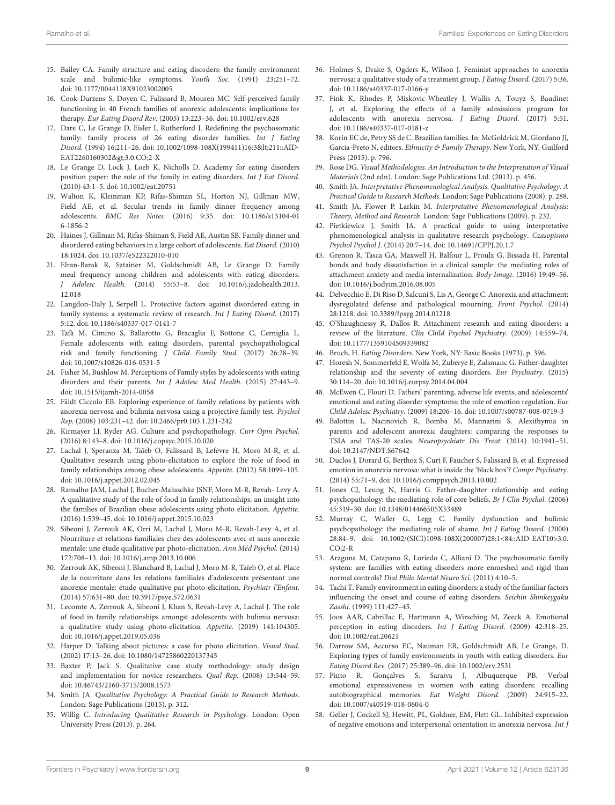- <span id="page-9-0"></span>15. Bailey CA. Family structure and eating disorders: the family environment scale and bulimic-like symptoms. Youth Soc. (1991) 23:251–72. doi: [10.1177/0044118X91023002005](https://doi.org/10.1177/0044118X91023002005)
- <span id="page-9-1"></span>16. Cook-Darzens S, Doyen C, Falissard B, Mouren MC. Self-perceived family functioning in 40 French families of anorexic adolescents: implications for therapy. Eur Eating Disord Rev. (2005) 13:223–36. doi: [10.1002/erv.628](https://doi.org/10.1002/erv.628)
- <span id="page-9-2"></span>17. Dare C, Le Grange D, Eisler I, Rutherford J. Redefining the psychosomatic family: family process of 26 eating disorder families. Int J Eating Disord. (1994) 16:211–26. doi: [10.1002/1098-108X\(199411\)16:3<](https://doi.org/10.1002/1098-108X(199411)16:3<)211::AID-EAT2260160302>3.0.CO;2-X
- <span id="page-9-3"></span>18. Le Grange D, Lock J, Loeb K, Nicholls D. Academy for eating disorders position paper: the role of the family in eating disorders. Int J Eat Disord. (2010) 43:1–5. doi: [10.1002/eat.20751](https://doi.org/10.1002/eat.20751)
- <span id="page-9-4"></span>19. Walton K, Kleinman KP, Rifas-Shiman SL, Horton NJ, Gillman MW, Field AE, et al. Secular trends in family dinner frequency among adolescents. BMC Res Notes. [\(2016\) 9:35. doi: 10.1186/s13104-01](https://doi.org/10.1186/s13104-016-1856-2) 6-1856-2
- <span id="page-9-5"></span>20. Haines J, Gillman M, Rifas-Shiman S, Field AE, Austin SB. Family dinner and disordered eating behaviors in a large cohort of adolescents. Eat Disord. (2010) 18:1024. doi: [10.1037/e522322010-010](https://doi.org/10.1037/e522322010-010)
- <span id="page-9-6"></span>21. Elran-Barak R, Sztainer M, Goldschmidt AB, Le Grange D. Family meal frequency among children and adolescents with eating disorders. J Adolesc Health. [\(2014\) 55:53–8. doi: 10.1016/j.jadohealth.2013.](https://doi.org/10.1016/j.jadohealth.2013.12.018) 12.018
- <span id="page-9-7"></span>22. Langdon-Daly J, Serpell L. Protective factors against disordered eating in family systems: a systematic review of research. Int J Eating Disord. (2017) 5:12. doi: [10.1186/s40337-017-0141-7](https://doi.org/10.1186/s40337-017-0141-7)
- <span id="page-9-8"></span>23. Tafà M, Cimino S, Ballarotto G, Bracaglia F, Bottone C, Cerniglia L. Female adolescents with eating disorders, parental psychopathological risk and family functioning. J Child Family Stud. (2017) 26:28–39. doi: [10.1007/s10826-016-0531-5](https://doi.org/10.1007/s10826-016-0531-5)
- <span id="page-9-9"></span>24. Fisher M, Bushlow M. Perceptions of Family styles by adolescents with eating disorders and their parents. Int J Adolesc Med Health. (2015) 27:443–9. doi: [10.1515/ijamh-2014-0058](https://doi.org/10.1515/ijamh-2014-0058)
- <span id="page-9-10"></span>25. Fäldt Ciccolo EB. Exploring experience of family relations by patients with anorexia nervosa and bulimia nervosa using a projective family test. Psychol Rep. (2008) 103:231–42. doi: [10.2466/pr0.103.1.231-242](https://doi.org/10.2466/pr0.103.1.231-242)
- <span id="page-9-11"></span>26. Kirmayer LJ, Ryder AG. Culture and psychopathology. Curr Opin Psychol. (2016) 8:143–8. doi: [10.1016/j.copsyc.2015.10.020](https://doi.org/10.1016/j.copsyc.2015.10.020)
- <span id="page-9-12"></span>27. Lachal J, Speranza M, Taïeb O, Falissard B, Lefèvre H, Moro M-R, et al. Qualitative research using photo-elicitation to explore the role of food in family relationships among obese adolescents. Appetite. (2012) 58:1099–105. doi: [10.1016/j.appet.2012.02.045](https://doi.org/10.1016/j.appet.2012.02.045)
- <span id="page-9-28"></span>28. Ramalho JAM, Lachal J, Bucher-Maluschke JSNF, Moro M-R, Revah- Levy A. A qualitative study of the role of food in family relationships: an insight into the families of Brazilian obese adolescents using photo elicitation. Appetite. (2016) 1:539–45. doi: [10.1016/j.appet.2015.10.023](https://doi.org/10.1016/j.appet.2015.10.023)
- <span id="page-9-29"></span>29. Sibeoni J, Zerrouk AK, Orri M, Lachal J, Moro M-R, Revah-Levy A, et al. Nourriture et relations familiales chez des adolescents avec et sans anorexie mentale: une étude qualitative par photo-elicitation. Ann Méd Psychol. (2014) 172:708–13. doi: [10.1016/j.amp.2013.10.006](https://doi.org/10.1016/j.amp.2013.10.006)
- <span id="page-9-20"></span>30. Zerrouk AK, Sibeoni J, Blanchard B, Lachal J, Moro M-R, Taïeb O, et al. Place de la nourriture dans les relations familiales d'adolescents présentant une anorexie mentale: étude qualitative par photo-elicitation. Psychiatr l'Enfant. (2014) 57:631–80. doi: [10.3917/psye.572.0631](https://doi.org/10.3917/psye.572.0631)
- <span id="page-9-13"></span>31. Lecomte A, Zerrouk A, Sibeoni J, Khan S, Revah-Levy A, Lachal J. The role of food in family relationships amongst adolescents with bulimia nervosa: a qualitative study using photo-elicitation. Appetite. (2019) 141:104305. doi: [10.1016/j.appet.2019.05.036](https://doi.org/10.1016/j.appet.2019.05.036)
- <span id="page-9-14"></span>32. Harper D. Talking about pictures: a case for photo elicitation. Visual Stud. (2002) 17:13–26. doi: [10.1080/14725860220137345](https://doi.org/10.1080/14725860220137345)
- <span id="page-9-15"></span>33. Baxter P, Jack S. Qualitative case study methodology: study design and implementation for novice researchers. Qual Rep. (2008) 13:544–59. doi: [10.46743/2160-3715/2008.1573](https://doi.org/10.46743/2160-3715/2008.1573)
- <span id="page-9-16"></span>34. Smith JA. Qualitative Psychology: A Practical Guide to Research Methods. London: Sage Publications (2015). p. 312.
- <span id="page-9-17"></span>35. Willig C. Introducing Qualitative Research in Psychology. London: Open University Press (2013). p. 264.
- <span id="page-9-18"></span>36. Holmes S, Drake S, Ogders K, Wilson J. Feminist approaches to anorexia nervosa: a qualitative study of a treatment group. J Eating Disord. (2017) 5:36. doi: [10.1186/s40337-017-0166-y](https://doi.org/10.1186/s40337-017-0166-y)
- <span id="page-9-19"></span>37. Fink K, Rhodes P, Miskovic-Wheatley J, Wallis A, Touyz S, Baudinet J, et al. Exploring the effects of a family admissions program for adolescents with anorexia nervosa. J Eating Disord. (2017) 5:51. doi: [10.1186/s40337-017-0181-z](https://doi.org/10.1186/s40337-017-0181-z)
- <span id="page-9-21"></span>38. Korin EC de, Petry SS de C. Brazilian families. In: McGoldrick M, Giordano JJ, Garcia-Preto N, editors. Ethnicity & Family Therapy. New York, NY: Guilford Press (2015). p. 796.
- <span id="page-9-22"></span>39. Rose DG. Visual Methodologies. An Introduction to the Interpretation of Visual Materials (2nd edn). London: Sage Publications Ltd. (2013). p. 456.
- <span id="page-9-23"></span>40. Smith JA. Interpretative Phenomenological Analysis. Qualitative Psychology. A Practical Guide to Research Methods. London: Sage Publications (2008). p. 288.
- <span id="page-9-24"></span>41. Smith JA, Flower P, Larkin M. Interpretative Phenomenological Analysis: Theory, Method and Research. London: Sage Publications (2009). p. 232.
- <span id="page-9-25"></span>42. Pietkiewicz J, Smith JA. A practical guide to using interpretative phenomenological analysis in qualitative research psychology. Czasopismo Psychol Psychol J. (2014) 20:7–14. doi: [10.14691/CPPJ.20.1.7](https://doi.org/10.14691/CPPJ.20.1.7)
- <span id="page-9-26"></span>43. Grenon R, Tasca GA, Maxwell H, Balfour L, Proulx G, Bissada H. Parental bonds and body dissatisfaction in a clinical sample: the mediating roles of attachment anxiety and media internalization. Body Image. (2016) 19:49–56. doi: [10.1016/j.bodyim.2016.08.005](https://doi.org/10.1016/j.bodyim.2016.08.005)
- 44. Delvecchio E, Di Riso D, Salcuni S, Lis A, George C. Anorexia and attachment: dysregulated defense and pathological mourning. Front Psychol. (2014) 28:1218. doi: [10.3389/fpsyg.2014.01218](https://doi.org/10.3389/fpsyg.2014.01218)
- <span id="page-9-27"></span>45. O'Shaughnessy R, Dallos R. Attachment research and eating disorders: a review of the literature. Clin Child Psychol Psychiatry. (2009) 14:559–74. doi: [10.1177/1359104509339082](https://doi.org/10.1177/1359104509339082)
- <span id="page-9-30"></span>46. Bruch, H. Eating Disorders. New York, NY: Basic Books (1973). p. 396.
- <span id="page-9-31"></span>47. Horesh N, Sommerfeld E, Wolfa M, Zuberye E, Zalsmanc G. Father-daughter relationship and the severity of eating disorders. Eur Psychiatry. (2015) 30:114–20. doi: [10.1016/j.eurpsy.2014.04.004](https://doi.org/10.1016/j.eurpsy.2014.04.004)
- <span id="page-9-32"></span>48. McEwen C, Flouri D. Fathers' parenting, adverse life events, and adolescents' emotional and eating disorder symptoms: the role of emotion regulation. Eur Child Adolesc Psychiatry. (2009) 18:206–16. doi: [10.1007/s00787-008-0719-3](https://doi.org/10.1007/s00787-008-0719-3)
- <span id="page-9-33"></span>49. Balottin L, Nacinovich R, Bomba M, Mannarini S. Alexithymia in parents and adolescent anorexic daughters: comparing the responses to TSIA and TAS-20 scales. Neuropsychiatr Dis Treat. (2014) 10:1941–51. doi: [10.2147/NDT.S67642](https://doi.org/10.2147/NDT.S67642)
- <span id="page-9-34"></span>50. Duclos J, Dorard G, Berthoz S, Curt F, Faucher S, Falissard B, et al. Expressed emotion in anorexia nervosa: what is inside the 'black box'? Compr Psychiatry. (2014) 55:71–9. doi: [10.1016/j.comppsych.2013.10.002](https://doi.org/10.1016/j.comppsych.2013.10.002)
- <span id="page-9-35"></span>51. Jones CJ, Leung N, Harris G. Father-daughter relationship and eating psychopathology: the mediating role of core beliefs. Br J Clin Psychol. (2006) 45:319–30. doi: [10.1348/014466505X53489](https://doi.org/10.1348/014466505X53489)
- <span id="page-9-36"></span>52. Murray C, Waller G, Legg C. Family dysfunction and bulimic psychopathology: the mediating role of shame. Int J Eating Disord. (2000) [28:84–9. doi: 10.1002/\(SICI\)1098-108X\(200007\)28:1<84::AID-EAT10>3.0.](https://doi.org/10.1002/(SICI)1098-108X(200007)28:1<84::AID-EAT10>3.0.CO;2-R)  $CO:2-R$
- <span id="page-9-37"></span>53. Aragona M, Catapano R, Loriedo C, Alliani D. The psychosomatic family system: are families with eating disorders more enmeshed and rigid than normal controls? Dial Philo Mental Neuro Sci. (2011) 4:10–5.
- <span id="page-9-38"></span>54. Tachi T. Family environment in eating disorders: a study of the familiar factors influencing the onset and course of eating disorders. Seichin Shinkeygaku Zasshi. (1999) 111:427–45.
- <span id="page-9-39"></span>55. Joos AAB, Cabrillac E, Hartmann A, Wirsching M, Zeeck A. Emotional perception in eating disorders. Int J Eating Disord. (2009) 42:318–25. doi: [10.1002/eat.20621](https://doi.org/10.1002/eat.20621)
- <span id="page-9-40"></span>56. Darrow SM, Accurso EC, Nauman ER, Goldschmidt AB, Le Grange, D. Exploring types of family environments in youth with eating disorders. Eur Eating Disord Rev. (2017) 25:389–96. doi: [10.1002/erv.2531](https://doi.org/10.1002/erv.2531)
- <span id="page-9-41"></span>57. Pinto R, Gonçalves S, Saraiva J, Albuquerque PB. Verbal emotional expressiveness in women with eating disorders: recalling autobiographical memories. Eat Weight Disord. (2009) 24:915–22. doi: [10.1007/s40519-018-0604-0](https://doi.org/10.1007/s40519-018-0604-0)
- <span id="page-9-42"></span>58. Geller J, Cockell SJ, Hewitt, PL, Goldner, EM, Flett GL. Inhibited expression of negative emotions and interpersonal orientation in anorexia nervosa. Int J